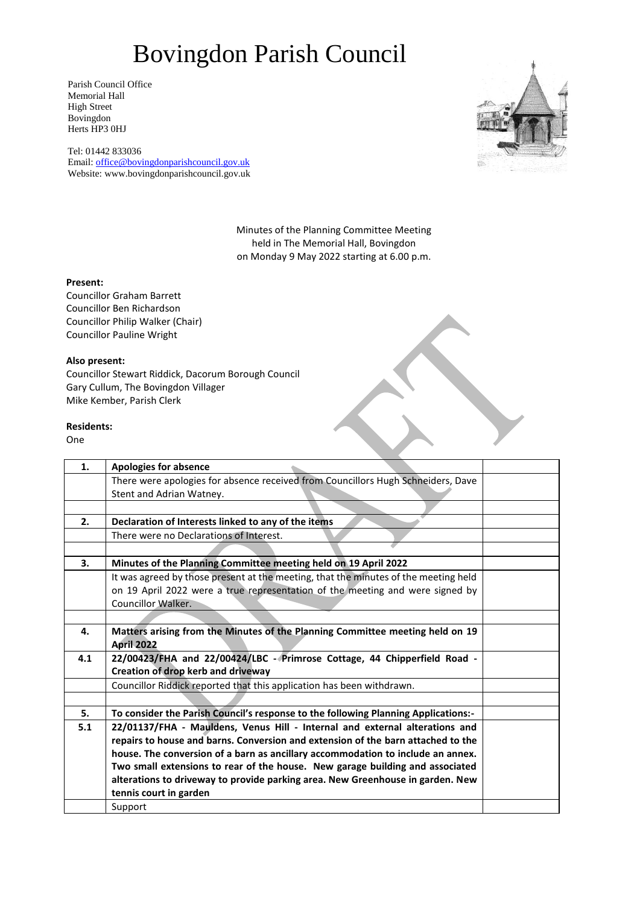### Bovingdon Parish Council

Parish Council Office Memorial Hall High Street Bovingdon Herts HP3 0HJ

Tel: 01442 833036 Email: [office@bovingdonparishcouncil.gov.uk](mailto:office@bovingdonparishcouncil.gov.uk) Website: www.bovingdonparishcouncil.gov.uk



Minutes of the Planning Committee Meeting held in The Memorial Hall, Bovingdon on Monday 9 May 2022 starting at 6.00 p.m.

#### **Present:**

Councillor Graham Barrett Councillor Ben Richardson Councillor Philip Walker (Chair) Councillor Pauline Wright

#### **Also present:**

Councillor Stewart Riddick, Dacorum Borough Council Gary Cullum, The Bovingdon Villager Mike Kember, Parish Clerk

#### **Residents:**

One

| 1.  | <b>Apologies for absence</b>                                                        |  |
|-----|-------------------------------------------------------------------------------------|--|
|     | There were apologies for absence received from Councillors Hugh Schneiders, Dave    |  |
|     | Stent and Adrian Watney.                                                            |  |
|     |                                                                                     |  |
| 2.  | Declaration of Interests linked to any of the items                                 |  |
|     | There were no Declarations of Interest.                                             |  |
|     |                                                                                     |  |
| 3.  | Minutes of the Planning Committee meeting held on 19 April 2022                     |  |
|     | It was agreed by those present at the meeting, that the minutes of the meeting held |  |
|     | on 19 April 2022 were a true representation of the meeting and were signed by       |  |
|     | Councillor Walker.                                                                  |  |
|     |                                                                                     |  |
| 4.  | Matters arising from the Minutes of the Planning Committee meeting held on 19       |  |
|     | <b>April 2022</b>                                                                   |  |
| 4.1 | 22/00423/FHA and 22/00424/LBC - Primrose Cottage, 44 Chipperfield Road -            |  |
|     | Creation of drop kerb and driveway                                                  |  |
|     | Councillor Riddick reported that this application has been withdrawn.               |  |
|     |                                                                                     |  |
| 5.  | To consider the Parish Council's response to the following Planning Applications:-  |  |
| 5.1 | 22/01137/FHA - Mauldens, Venus Hill - Internal and external alterations and         |  |
|     | repairs to house and barns. Conversion and extension of the barn attached to the    |  |
|     | house. The conversion of a barn as ancillary accommodation to include an annex.     |  |
|     | Two small extensions to rear of the house. New garage building and associated       |  |
|     | alterations to driveway to provide parking area. New Greenhouse in garden. New      |  |
|     | tennis court in garden                                                              |  |
|     | Support                                                                             |  |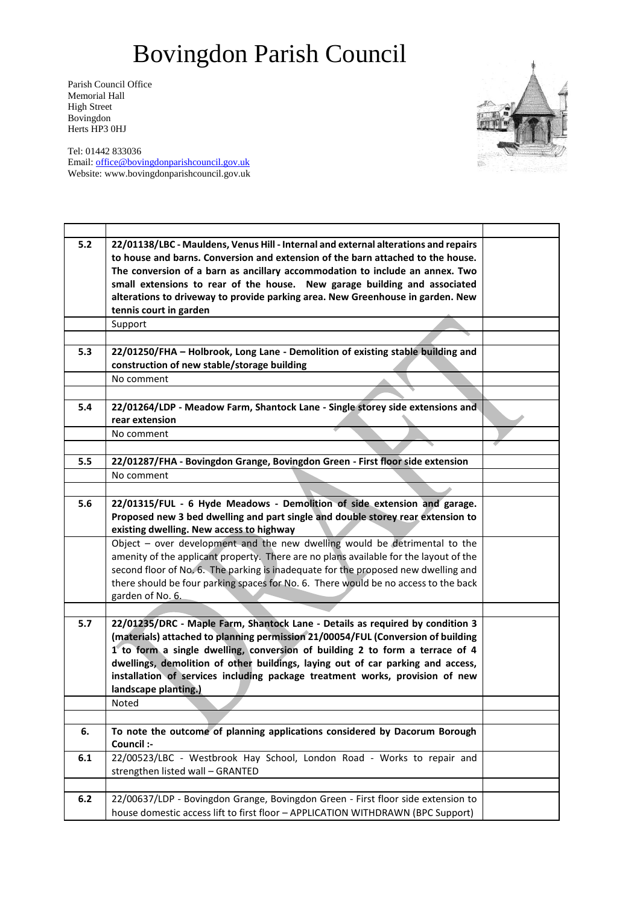# Bovingdon Parish Council

Parish Council Office Memorial Hall High Street Bovingdon Herts HP3 0HJ

Tel: 01442 833036 Email: [office@bovingdonparishcouncil.gov.uk](mailto:office@bovingdonparishcouncil.gov.uk) Website: www.bovingdonparishcouncil.gov.uk

| 5.2   | 22/01138/LBC - Mauldens, Venus Hill - Internal and external alterations and repairs   |  |
|-------|---------------------------------------------------------------------------------------|--|
|       | to house and barns. Conversion and extension of the barn attached to the house.       |  |
|       | The conversion of a barn as ancillary accommodation to include an annex. Two          |  |
|       | small extensions to rear of the house. New garage building and associated             |  |
|       | alterations to driveway to provide parking area. New Greenhouse in garden. New        |  |
|       | tennis court in garden                                                                |  |
|       | Support                                                                               |  |
|       |                                                                                       |  |
| 5.3   | 22/01250/FHA - Holbrook, Long Lane - Demolition of existing stable building and       |  |
|       | construction of new stable/storage building                                           |  |
|       | No comment                                                                            |  |
|       |                                                                                       |  |
| 5.4   | 22/01264/LDP - Meadow Farm, Shantock Lane - Single storey side extensions and         |  |
|       | rear extension                                                                        |  |
|       | No comment                                                                            |  |
|       |                                                                                       |  |
| 5.5   | 22/01287/FHA - Bovingdon Grange, Bovingdon Green - First floor side extension         |  |
|       | No comment                                                                            |  |
|       |                                                                                       |  |
| 5.6   | 22/01315/FUL - 6 Hyde Meadows - Demolition of side extension and garage.              |  |
|       | Proposed new 3 bed dwelling and part single and double storey rear extension to       |  |
|       | existing dwelling. New access to highway                                              |  |
|       | Object - over development and the new dwelling would be detrimental to the            |  |
|       | amenity of the applicant property. There are no plans available for the layout of the |  |
|       | second floor of No. 6. The parking is inadequate for the proposed new dwelling and    |  |
|       | there should be four parking spaces for No. 6. There would be no access to the back   |  |
|       | garden of No. 6.                                                                      |  |
|       |                                                                                       |  |
| 5.7   | 22/01235/DRC - Maple Farm, Shantock Lane - Details as required by condition 3         |  |
|       | (materials) attached to planning permission 21/00054/FUL (Conversion of building      |  |
|       | 1 to form a single dwelling, conversion of building 2 to form a terrace of 4          |  |
|       | dwellings, demolition of other buildings, laying out of car parking and access,       |  |
|       | installation of services including package treatment works, provision of new          |  |
|       | landscape planting.)                                                                  |  |
|       | Noted                                                                                 |  |
|       |                                                                                       |  |
| 6.    | To note the outcome of planning applications considered by Dacorum Borough            |  |
|       | Council :-                                                                            |  |
| 6.1   | 22/00523/LBC - Westbrook Hay School, London Road - Works to repair and                |  |
|       | strengthen listed wall - GRANTED                                                      |  |
|       |                                                                                       |  |
| $6.2$ | 22/00637/LDP - Bovingdon Grange, Bovingdon Green - First floor side extension to      |  |
|       | house domestic access lift to first floor - APPLICATION WITHDRAWN (BPC Support)       |  |